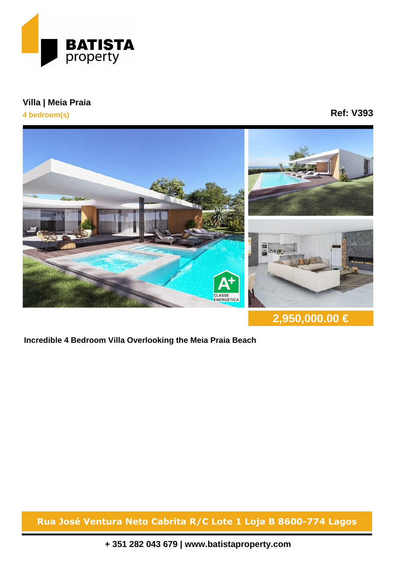

## **Villa | Meia Praia**

**4 bedroom(s)**

## **Ref: V393**



**2,950,000.00 €**

**Incredible 4 Bedroom Villa Overlooking the Meia Praia Beach**

**Rua José Ventura Neto Cabrita R/C Lote 1 Loja B 8600-774 Lagos**

**+ 351 282 043 679 | www.batistaproperty.com**